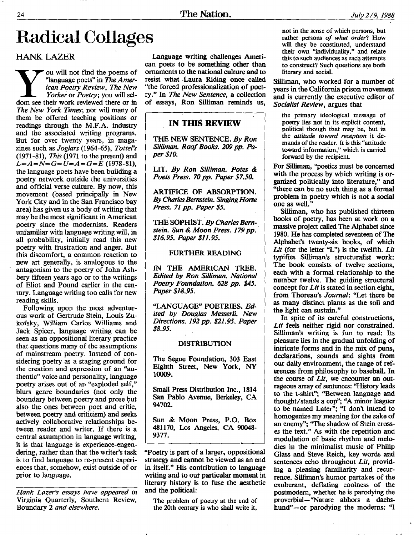-

# Radical Collages

## HANK LAZER

**Y** ou will not find the poems of "language poets" in *The American Poetry Review*, *The New Yorker* or *Poetry*; you will sellom see their work reviewed there or in 'language poets" **in** *The Arnerican Poetry Review, The New Yorkei* or *Poetty;* **you** will sel-*The New York Times;* nor will many of them be offered teaching positions or readings through the M.F.A. industry and the associated writing programs. But for over twenty years, in magazines such as *Jogiars* **(1964-65),** *Toftel's*  (1971-81), *This* (1971 to the present) and the language poets have been building a poetry network outside the universities and official verse culture. By now, this movement (based principally in New **York** City and in the San Francisco bay area) has given us a body of writing that may be the most significant in American poetry since the modernists. Readers unfamiliar with language writing **will,** in **all** probability, initially read this new poetry with frustration and anger. But this discomfort, a common reaction to new **art** generally, is analogous to the antagonism to the poetry of John Ashbery fifteen years ago or to the writings of Eliot and Found earlier in the century. Language writing too calls for new reading **skills.**  *L=A=N=G=U=A=G=E* (1978-Sl),

Following upon the most adventurous work of Gertrude Stein, Louis **Zu**kofsky, **William** Carlos **Williams** and Jack Spicer, language writing can be seen as an oppositional literary practice that questions many of the assumptions of mainstream poetry. Instead **of** considering poetry as a staging ground for the creation and expression of an "authentic" voice and personality, language poetry arises out of an "exploded self," blurs genre boundaries (not **only** the boundary between poetry and prose but **also** the ones between poet and critic, between poetry and criticism) **and** seeks actively collaborative relationships between reader and writer. If there is a central assumption in language writing, it is that language is experience-engendering, rather than that the writer's task is to find language to re-present experiences that, somehow, exist outside of or prior to language.

*Hank Lazer's essays have appeared in*  Virginia Quarterly, Southern Review, Boundary **2** *and elsewhere.* 

Language writing challenges Ameri*can* poets to **be** something other than ornanients **to** the national culture **and** to resist what Laura Riding once called "the forced professionalization of poet- ry." **In** *The New Sentence,* **a** collection of essays, Ron Sillirnan reminds **us,** 

### , **IN THIS REVIEW**

**THE NEW SENTENCE,** *By Ron Sillimn. Roof Books. 209 pp. Paper \$10.* 

LIT. *By Ron Silliman. Potes* & *Poets Press. 70 pp. Paper \$7.50.* 

**ARTIFICE OF** ABSORPTION. *By Charles 3emtein. Singing Horse Press. 71 pp. Paper \$5.* 

**TfigSCIPHTST.'By** *Charles Berrt-* . *stein. Sun* & *Moon Press. 179 pp. \$16.95, Paper \$11.95.* 

#### **FURTHER READING**

IN **THE** AMERICAN **TREE.**  *Edited by Ron Silliman. National Poetty Foundation. 628 pp.* **\$45.**  *Paper \$18.95.* 

"LANGUAGE' **POBTRIES.** *Edited by Douglas Messerli. New Directions. 192 pp. \$21.95. Paper \$8.95.* 

#### DISTRIBUTION

The Segue Foundation, **303** East Eighth Street, New Pork, *NY*  **10009.** 

**Small Press Distribution Inc., 1814** Sari Pablo Avenue, Berkeley, **CA 94702.** 

Sun & **Moon** Press, **P.O.** Box **481 170, Los** Angels, **CA** 90048- **9377.** 

"Poetry is **part** of a larger, oppositional strategy **and** cannot be viewed as an end in itself." **His** coritribution to language writing and to **our** particular moment **in**  literary history is to fuse the aesthetic and the political:

The problem **of** poetry at the end **of**  the **20th** century **is who** shall write it,

not in the sense **of** which persons, but rather persons *of what order?* How will they be constituted, understand their own "individuality," and relate this to such audiences **as** each attempts to construct? Such questions **qe both**  literary **and** social.

**Silliman,** who worked for a number **of**  years in the California prison movement and **is** currently the executive editor **of**  *Socialist Review,* argues that

the primary ideological message **of**  poetry lies not **in** its explicit content, **political though** that **may** be, but in the *attitude toward reception* it **de**mands **of** the reader. It is this "attitude **toward** information,'' which **is** carried **forward by** the recipient.

For Silliman, "poetics must be concerned with the process by which writing is organized politically **into** literature," and "there can be no such thing **as** a formal problem in poetry which is not a social one **as** well."

Silliman, who has published thirteen books of **poetry,** has been at work on a massive project *called* The Alphabet **since**  1980. He has completed seventeen of The Alphabet's twenty-six books, of which Lit (for the letter "L") is the twelfth. Lit typifies Silliman's tructuralist work: The book consists of twelve sections, each with a formal relationship to the number twelve. The guiding structural concept for *Lit* is stated in section eight, from Thoreau's *Journal:* "Let there be **as** many distinct plants as the **soil** and the light can sustain."

In spite of its careful constructions, *Lit* **feels** neither rigid nor constrained. SUiman's writing is **fun** to read: Its pleasure lies in the gradual unfolding of intricate forms and in the mix of puns, declarations, sounds and sights from **our** daily environment, the range of references from philosophy to baseball. In **the** course of *Lit,* we encounter an out**rageous** array of sentences: "Hjstory **leads to** the t-shirt"; "Between language and **thought/stands** a cop"; **"A** minor leaguer to be named Later"; **"I** don't intend **to**  homogenize my meaning for the sake of **an** enemy"; "The shadow **of** Stein cross*es* the text." **As** with the repetition and modulation of basic rhythm and melodies in the minimalist music **of** Philip Glass **and** Steve Reich, key words and sentences echo throughout *Lit,* providing a pleasing familiarity and recurrence. Silliman's humor partakes **of** the exuberant, deflating coolness of the postmodern, whether he is parodying the proverbial - "Nature abhors a dachshund"-or parodying the moderns: **"I**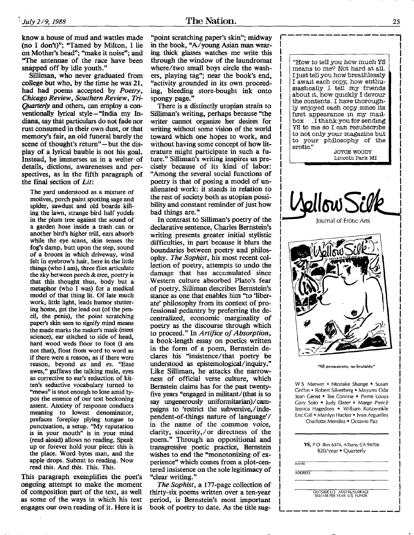know a house of mud and wattles made **(no I** don't)''; "Tamed by Milton, **I** lie on Mother's head"; "make it noise"; and **"The** antennae of the race have been snapped off by idle youth."

Silliman, who never graduated from **college** but who, by the time he was **21,**  had had poems accepted by *Poetry, Chicago Review, Southern Review, Tri-Quarterly* and others, can employ a conventionally lyrical style-"India my Indiana, say that **particulars** do not fade nor rust consumed in their own dust, or that memory's fair, an old funeral barely the scene of thought's return"-but the **dis**play **of** a lyrical bauble is not **his** goal. Instead, he immerses us in a welter of details, dictions, awarenesses and perspectives, **as** in the fifth paragraph of the **final** section of *Lit:* 

The yard understood **as** a mixture of motives, porch paint spotting sage and ' spider, sawdust and old boards kill**ing** the lawn, strange bird half yodels in the plum tree against the sound of a garden hose inside a trash can or another bird's higher trill, ears absorb while the eye **scans,** skin senses the **fog's** damp, butt upon the step, **sound of** a broom in which driveway, wind felt in eyebrow's hair, here in the little things (who **I am),** three **flies** articulate the sky between **porch** & tree, poetry *is*  that this thought thus, body but a metaphor **(who** I was) for a medical model **of** that thing lit. **Of** late much work, little light, leads humor stuttering home, get the lead out (of the pencil, the **penis),** the point scratching **paper's skin** seen to **signify** mind means the made marks the maker's mask (meet science), ear stitched to side of head, hard wood weds floor to foot **(I am**  not that), float from word to word **as**  if there were **a** reason, **as** if there **were**  reason, beyond *as* and **es.** "Ease awes," guffaws the talking mule, eyes **as** corrective to ear's reduction of kitten's seductive vocabulary turned to "mews" **is** snot enough to lose amid ty**pos** the essence of our text beckoning assent. Anxiety of response conducts meaning to lowest denominator, prefaces foreplay plying tongue to punctuation, **a** setup. "My reputation is in your mouth" is in your mind (read aloud) allows no reading. Speak up or forever hold your piece: this **is**  the place. Word bytes man, and the apple drops. Submit to reading. **Now read** this. And **this.** This. This.

**This** paragraph exemplifies the poet's ongoing attempt to make the moment **of** composition part of the text, as well **as** some of the ways in which his text engages our own reading of it. Here it is

"point scratching paper's skin"; midway in the book, "A/young Asian man wearing thick **glasses** watches me write this through the window **of** the laundromat where/two small boys circle the washers, playing tag"; near the book's end, "activity grounded in its **own** proceeding, bleeding store-bought ink onto spongy page.'

There is a distinctly utopian strain to Silliman's writing, perhaps because "the writer cannot organize her desires for writing without some vision of the world toward which one hopes to work, and without having some concept of how literature might participate in such a future." Silliman's writing inspires **us** precisely because of its kind of labor: "Among the several social functions **of**  poetry is that of posing a model of unalienated **work:** it stands in relation to the rest of society both as utopian possibility and constant reminder of just how bad things are."

In contrast **to** Silliman's poetry of the declarative sentence, Charles Bernstein's writing presents greater initial stylistic difficulties, in part because it blurs the boundaries between poetry and philosophy. *The Sophist,* his most recent collection of poetry, attempts to undo the damage that has accumulated since .Western culture absorbed Plato's fear of poetry. Silliman describes Bernstein's stance **as** one that enables him "to 'liberate' philosophy from its context **of** professional pedantry by preferring the decentralized, economic marginality **of**  poetry **as** the discourse through which to proceed." In *Artifice of Absorption,*  a book-length essay on poetics written in the form of a poem, Bernstein declares **his** "insistence/that poetry be understood as epistemological/inquiry." Like Silliman, he attacks the narrowness of official verse culture, which Bernstein claims has for the past twentyfive years "engaged in militant/(that is to say ungenerously uniformitarian)/campaigns to 'restrict the subversive,/independent-of-things nature of language'/ in the name of the common voice, clarity, sincerity,/or directness of the poem." Through an oppositional and transgressive poetic practice, Bernstein wishes to end the "monotonizing of experience" which comes from a plot-centered insistence on the soIe legitimacy **of**  "clear writing."

*The Sophist,* a 177-page collection of thirty-six poems written over a ten-year period, is Bernstein's most important book **of** poetry to date. **As** the title **sug-** **L**  "How to tell *you* how much *YS*  means to me? Not hard at all. I just tell you how breathlessly I awat each copy, how enthusiastically I tell my friends about it, how quickly I devour the contents. I have thoroughly enjoyed each copy smce its first appearance in my mail**box** . **I** thank you for sendmg **YS** to me so **1** can resubscrlbe to not only your magazine but to your philosophy of the erotic." **JOYCE WOODY**  Llncoln Park MI  $\mathcal{L}$ llow $\mathcal{L}$ iournal of Erotic Arts

I

"All persuasions, no brutality."

W S Merwin • Ntozake Shange • Susan Griffin • Robert Silverberg • Mayumi Oda Jean Genet • Tee Corinne • Pierre Louys Gary Soto · Judy Dater · Marge Piercy Jessica Hagedorn . William Kotzwinkle Eric Gill • Marilyn Hacker • Ivan Arguelles Charlotte Mendez · Octavio Paz

| YS, PO Box 6374, Albany CA 94706 |  |
|----------------------------------|--|
| \$20/year • Quarterly            |  |
|                                  |  |
| NAME                             |  |

- **ADDRESS** 

OUTSIDE U 5 ADD Ib/SUKFACE **812/1\IK PER YEAR** US **FUNDS** 

L""""""", I

i.

**1** 

I I i<br>! I I į. I İ. i<br>! I I I I I I į. į. İ.